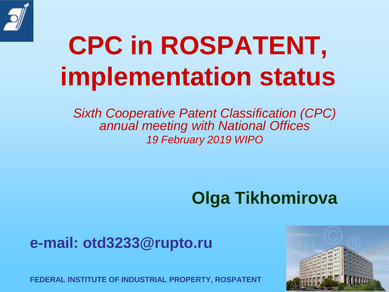

# **CPC in ROSPATENT, implementation status**

*Sixth Cooperative Patent Classification (CPC) annual meeting with National Offices 19 February 2019 WIPO*

#### **Olga Tikhomirova**

#### **e-mail: otd3233@rupto.ru**

**FEDERAL INSTITUTE OF INDUSTRIAL PROPERTY, ROSPATENT**

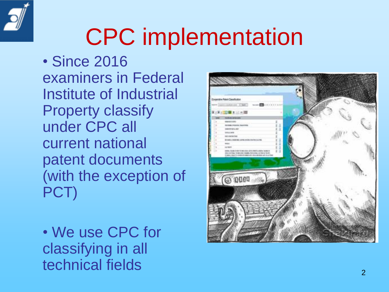

## CPC implementation

• Since 2016 examiners in Federal Institute of Industrial Property classify under CPC all current national patent documents (with the exception of PCT)

• We use CPC for classifying in all technical fields 2000 the contract of 2000 the contract 2000 the 2000 the 2000 the 2000 the 2000 the 2000 the 2000 the 2000 the 2000 the 2000 the 2000 the 2000 the 2000 the 2000 the 2000 the 2000 the 2000 the 2000 the 2000

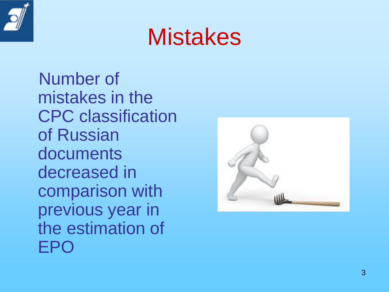

### **Mistakes**

Number of mistakes in the CPC classification of Russian documents decreased in comparison with previous year in the estimation of EPO

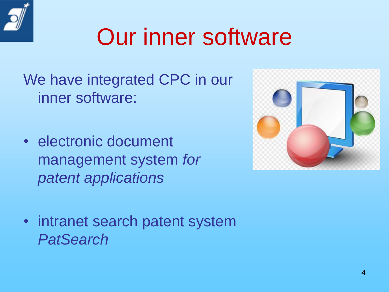We have integrated CPC in our inner software:

• electronic document management system *for patent applications*



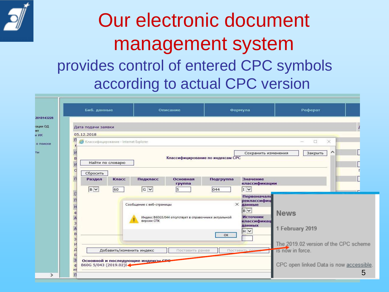

#### Our electronic document management system provides control of entered CPC symbols according to actual CPC version

|                                                     | Биб. данные                                                                                         |                                                             |                                        | Описание                                              |                | Формула                                                                                              | Реферат                                                                 |  |  |
|-----------------------------------------------------|-----------------------------------------------------------------------------------------------------|-------------------------------------------------------------|----------------------------------------|-------------------------------------------------------|----------------|------------------------------------------------------------------------------------------------------|-------------------------------------------------------------------------|--|--|
|                                                     | Дата подачи заявки<br>05.12.2018                                                                    |                                                             |                                        |                                                       |                |                                                                                                      |                                                                         |  |  |
| П                                                   | • Классифицирование - Internet Explorer                                                             |                                                             |                                        |                                                       |                |                                                                                                      | $\times$<br>$\Box$                                                      |  |  |
| в<br>с                                              | $\wedge$<br>Закрыть<br>Сохранить изменения<br>Классифицирование по индексам СРС<br>Найти по словарю |                                                             |                                        |                                                       |                |                                                                                                      |                                                                         |  |  |
| п                                                   | Сбросить<br>Раздел                                                                                  | Класс                                                       | Подкласс                               | Основная                                              | Подгруппа      | Значение                                                                                             |                                                                         |  |  |
|                                                     | BY                                                                                                  | 60                                                          | $G$ $\vee$                             | группа<br>5                                           | 044            | классификации<br>$\boxed{1}$                                                                         |                                                                         |  |  |
| $\Gamma$<br>đ<br>3<br>B<br>$\mathbf{B}$             |                                                                                                     |                                                             | Сообщение с веб-страницы<br>версии СПК | Индекс В60G5/044 отсутствует в справочнике актуальной | $\times$<br>OK | Первоначаль<br>реклассифиц<br>данные<br>BV<br><b>Источник</b><br>классификац<br>данных<br>$H$ $\vee$ | <b>News</b><br>1 February 2019<br>The 2019.02 version of the CPC scheme |  |  |
| Л<br>$\overline{b}$<br>$\overline{\mathbf{3}}$<br>ď | Добавить/изменить индекс<br>Основной и последующие индексы СРО<br>B60G 5/043 (2019.02)I             | Is now in force.<br>CPC open linked Data is now accessible. |                                        |                                                       |                |                                                                                                      |                                                                         |  |  |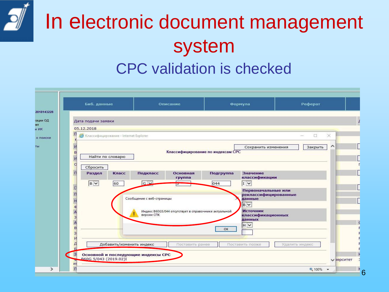### In electronic document management system CPC validation is checked

|                      | Биб. данные                             |       |                                    | Описание                                              |                                   | Формула                                                                       | Реферат                       |  |
|----------------------|-----------------------------------------|-------|------------------------------------|-------------------------------------------------------|-----------------------------------|-------------------------------------------------------------------------------|-------------------------------|--|
|                      | Дата подачи заявки                      |       |                                    |                                                       |                                   |                                                                               |                               |  |
|                      | 05.12.2018                              |       |                                    |                                                       |                                   |                                                                               |                               |  |
| п                    | • Классифицирование - Internet Explorer |       |                                    |                                                       |                                   |                                                                               | $\times$<br>$\Box$            |  |
| B<br>O               | Найти по словарю                        |       |                                    |                                                       | Классифицирование по индексам СРС | Сохранить изменения                                                           | $\curvearrowright$<br>Закрыть |  |
| $\Box$               | Сбросить<br>Раздел                      | Класс | Подкласс                           | Основная<br>группа                                    | Подгруппа                         | Значение<br>классификации                                                     |                               |  |
|                      | <b>B</b> V                              | 60    | $G$ $\vee$                         | P.                                                    | 044                               | $\sqrt{I V}$                                                                  |                               |  |
| $\Box$<br>đ          |                                         |       | Сообщение с веб-страницы           | Индекс В60G5/044 отсутствует в справочнике актуальной |                                   | Первоначальные или<br>реклассифицированные<br>данные<br>BV<br><b>Источник</b> |                               |  |
| 3                    |                                         |       | версии СПК                         |                                                       |                                   | классификационных<br>данных                                                   |                               |  |
| $\mathbf{B}$         |                                         |       |                                    |                                                       | OK                                | $H$ $\vee$                                                                    |                               |  |
| З                    |                                         |       |                                    |                                                       |                                   |                                                                               |                               |  |
|                      |                                         |       | Добавить/изменить индекс           | Поставить ранее                                       |                                   | Поставить позже                                                               | Удалить индекс                |  |
| $\vert$ <sub>3</sub> | B60G 5/043 (2019.02)I                   |       | Основной и последующие индексы СРС |                                                       |                                   |                                                                               | <b>У зерситет</b>             |  |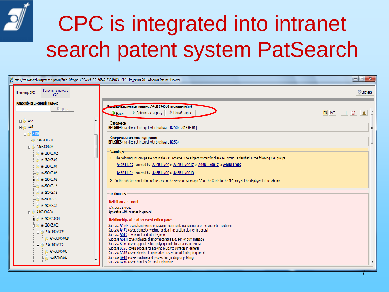

## CPC is integrated into intranet search patent system PatSearch

| http://vm-rospweb.rospatent.rupto.ru/?tab=0&type=CPC&ref=0.2166547183246043 - CPC - Pegakuun 20 - Windows Internet Explorer                    |                                                                                                                                                                                                                                                                                                                                                                                                                                                                                                                                                                                                                                                                                                                                                             |                              |
|------------------------------------------------------------------------------------------------------------------------------------------------|-------------------------------------------------------------------------------------------------------------------------------------------------------------------------------------------------------------------------------------------------------------------------------------------------------------------------------------------------------------------------------------------------------------------------------------------------------------------------------------------------------------------------------------------------------------------------------------------------------------------------------------------------------------------------------------------------------------------------------------------------------------|------------------------------|
| Выполнить поиск в<br>Просмотр СРС<br><b>CPC</b>                                                                                                |                                                                                                                                                                                                                                                                                                                                                                                                                                                                                                                                                                                                                                                                                                                                                             | <b><i>•</i></b> Справка      |
| Классификационный индекс<br>Выбрать<br>白砂 A45                                                                                                  | <b>Илассификационный индекс: А46В (94501 вхождение(я))</b><br>+ Добавить к запросу<br><b><sup>9</sup></b> Новый запрос<br>• Назад                                                                                                                                                                                                                                                                                                                                                                                                                                                                                                                                                                                                                           | $EN$ PYC $[]$ $\Box$<br>$\ $ |
| A46<br>ĖH                                                                                                                                      | Заголовок<br>BRUSHES (handles not integral with brushware B25G) [2018-08-01]                                                                                                                                                                                                                                                                                                                                                                                                                                                                                                                                                                                                                                                                                |                              |
| Ė-<br>A46B<br>A46B0001/00<br>A46B0003/00<br>Ė-                                                                                                 | Сводный заголовок подгруппы<br><b>BRUSHES</b> (handles not integral with brushware <b>B25G</b> )                                                                                                                                                                                                                                                                                                                                                                                                                                                                                                                                                                                                                                                            |                              |
| A46B0003/005<br>A46B0003/02<br>A46B0003/04<br>A46B0003/06<br>由 2 A46B0003/08                                                                   | <b>Warnings</b><br>1. The following IPC groups are not in the CPC scheme. The subject matter for these IPC groups is classified in the following CPC groups:<br>A46B11/02 covered by A46B11/00 or A46B11/0017 or A46B11/0017 or A46B11/002<br>A46B11/04 covered by A46B11/00 or A46B11/0013                                                                                                                                                                                                                                                                                                                                                                                                                                                                 |                              |
| A46B0003/16<br>A46B0003/18<br>A46B0003/20<br>A46B0003/22<br>A46B0005/00                                                                        | 2. In this subclass non-limiting references (in the sense of paragraph 39 of the Guide to the IPC) may still be displayed in the scheme.<br><b>Definitions</b><br><b>Definition statement</b><br>This place covers:<br>Apparatus with brushes in general                                                                                                                                                                                                                                                                                                                                                                                                                                                                                                    |                              |
| 中心 A46B0005/0004<br>白心 A46B0005/002<br>白 2 A46B0005/0025<br>A46B0005/0029<br>白 2 A46B0005/0033<br>A46B0005/0037<br>$\rightarrow$ A46B0005/0041 | Relationships with other classification places<br>Subclass A45D covers hairdressing or shaving equipment; manicuring or other cosmetic treatmen<br>Subclass A47L covers domestic washing or cleaning; suction cleaner in general<br>Subclass A61C covers oral or dental hygiene<br>Subclass A61H covers physical therapy apparatus e.g. skin or gum massage<br>Subclass <b>BOSC</b> covers apparatus for applying liquids to surfaces in general<br>Subclass <b>BO5D</b> covers process for applying liquids to surfaces in general<br>Subclass <b>BO8B</b> covers cleaning in general or prevention of fouling in general<br>Subclass B24B covers machine and process for grinding or polishing<br>Subclass <b>B25G</b> covers handles for hand implements |                              |

7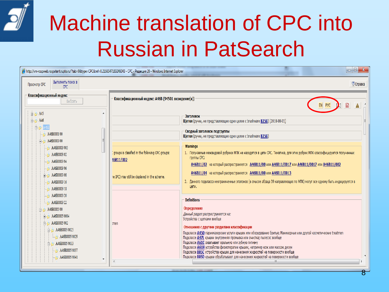

### Machine translation of CPC into Russian in PatSearch

| http://vm-rospweb.rospatent.rupto.ru/?tab=0&type=CPC&ref=0.2166547183246043 - CPC - Редакция 20 - Windows Internet Explorer                                                        |                                                                                                                   |                                                                                                                                                                                                                                                                                                                                                                                                                                                                                                                                                                                                                                                                                         |
|------------------------------------------------------------------------------------------------------------------------------------------------------------------------------------|-------------------------------------------------------------------------------------------------------------------|-----------------------------------------------------------------------------------------------------------------------------------------------------------------------------------------------------------------------------------------------------------------------------------------------------------------------------------------------------------------------------------------------------------------------------------------------------------------------------------------------------------------------------------------------------------------------------------------------------------------------------------------------------------------------------------------|
| Выполнить поиск в<br>Просмотр СРС<br>CPC.                                                                                                                                          |                                                                                                                   | <sup>2</sup> Справка                                                                                                                                                                                                                                                                                                                                                                                                                                                                                                                                                                                                                                                                    |
| Классификационный индекс<br>Выбрать<br>由 A45<br><b>白心 A46</b>                                                                                                                      | Классификационный индекс: А46В (94501 вхождение(я))                                                               | $\mathbf{E}$<br>EN PYC<br>Α<br>Заголовок<br>Щетки (ручки, не представляющие одно целое с brushware B25G) [2018-08-01]                                                                                                                                                                                                                                                                                                                                                                                                                                                                                                                                                                   |
| $B$ $\rightarrow$ $A$ <sub>46</sub> B<br>A46B0001/00<br>A46B0003/00<br>Ėŀ                                                                                                          |                                                                                                                   | Сводный заголовок подгруппы<br>Щетки (ручки, не представляющие одно целое с brushware B25G)                                                                                                                                                                                                                                                                                                                                                                                                                                                                                                                                                                                             |
| A46B0003/005<br>A46B0003/02<br>A46B0003/04<br>A46B0003/06<br>由 A46B0003/08<br>A46B0003/16<br>$-246B0003/18$                                                                        | I groups is classified in the following CPC groups:<br>46B11/002<br>he IPC) may still be displayed in the scheme. | <b>Warnings</b><br>1. Получаемые межвидовой рубрики МПК не находятся в цепи СРС. Тематика, для этих рубрик МПК классифицируется полученных<br>группы СРС:<br>А46В11/02 на который распространяется A46B11/00 или A46B11/0017 или A46B11/0017 или A46B11/002<br>А46В11/04 на который распространяется А46В11/00 или А46В11/0013<br>2. Данного подкласса неограниченные эталонов (в смысле абзаца 39 направляющих по МПК) могут все одному быть индицируется в<br>цепи.                                                                                                                                                                                                                   |
| A46B0003/20<br>$-2$ A46B0003/22<br>A46B0005/00<br>由 A46B0005/0004<br>白 2 A46B0005/002<br>白 2 A46B0005/0025<br>A46B0005/0029<br>白 2 A46B0005/0033<br>A46B0005/0037<br>A46B0005/0041 | men<br>∢                                                                                                          | <b>Definitions</b><br>Определение<br>Данный раздел распространяется на:<br>Устройства с щетками вообще<br>Отношения с другими разделами классификации<br>Подклассе <b>A45D</b> парикмахерские услуги крышек или оборудование бритья; Маникюрные или другой косметические treatmen<br>Подклассе A47L крышки внутренняя промывка или очистка; пылесос вообще<br>Подклассе <b>A61C</b> охватывает оральную или зубную гигиену<br>Подклассе <b>A61H</b> устройства физиотерапии крышек, например кож или массаж десен<br>Подклассе ВОБС устройства крышек для нанесения жидкостей на поверхности вообще<br>Подклассе ВОБО крышки обрабатывают для нанесения жидкостей на поверхности вообще |
|                                                                                                                                                                                    |                                                                                                                   |                                                                                                                                                                                                                                                                                                                                                                                                                                                                                                                                                                                                                                                                                         |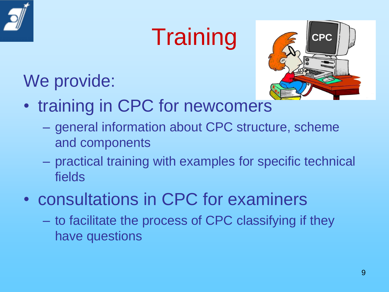

## **Training**



### We provide:

- training in CPC for newcomers
	- general information about CPC structure, scheme and components
	- practical training with examples for specific technical fields
- consultations in CPC for examiners
	- to facilitate the process of CPC classifying if they have questions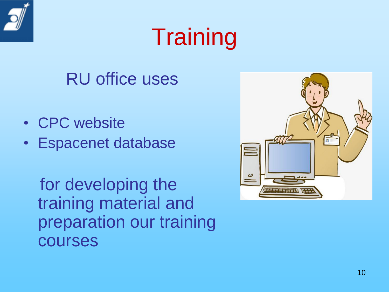

## **Training**

#### RU office uses

- CPC website
- Espacenet database

for developing the training material and preparation our training courses

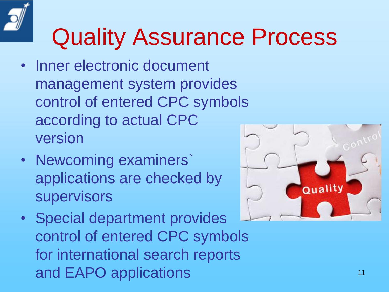# Quality Assurance Process

- Inner electronic document management system provides control of entered CPC symbols according to actual CPC version
- Newcoming examiners` applications are checked by supervisors
- Special department provides control of entered CPC symbols for international search reports and EAPO applications 11

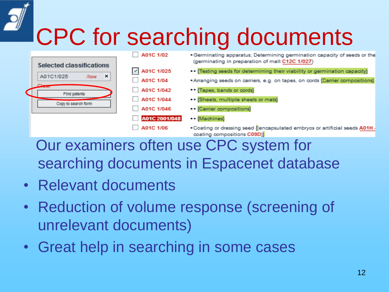## CPC for searching documents



Our examiners often use CPC system for searching documents in Espacenet database

- Relevant documents
- Reduction of volume response (screening of unrelevant documents)
- Great help in searching in some cases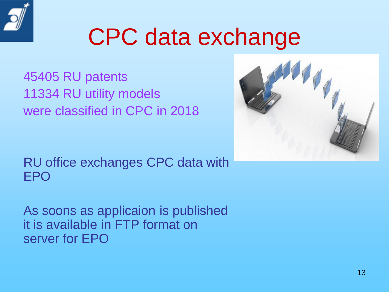

## CPC data exchange

45405 RU patents 11334 RU utility models were classified in CPC in 2018



As soons as applicaion is published it is available in FTP format on server for EPO

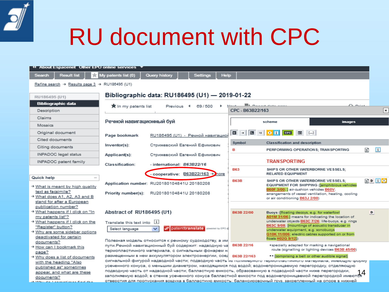

## RU document with CPC

| 44 About Espacenet Other EPO online services                           |                              |                                                                                                            |                                   |                  |                                         |                                                                                                               |    |                     |
|------------------------------------------------------------------------|------------------------------|------------------------------------------------------------------------------------------------------------|-----------------------------------|------------------|-----------------------------------------|---------------------------------------------------------------------------------------------------------------|----|---------------------|
| Search<br><b>Result list</b><br><b>xir</b>                             | My patents list (0)          | Query history                                                                                              | Settings                          | <b>Help</b>      |                                         |                                                                                                               |    |                     |
| Refine search $\rightarrow$ Results page 3 $\rightarrow$ RU188495 (U1) |                              |                                                                                                            |                                   |                  |                                         |                                                                                                               |    |                     |
|                                                                        |                              |                                                                                                            |                                   |                  |                                         |                                                                                                               |    |                     |
| RU186495 (U1)                                                          |                              | Bibliographic data: RU186495 (U1) - 2019-01-22                                                             |                                   |                  |                                         |                                                                                                               |    |                     |
| <b>Bibliographic data</b>                                              | ★ In my patents list         | Previous                                                                                                   | 69/500<br>$\overline{4}$          |                  | <b>El nome date</b>                     | فسنده بالك                                                                                                    |    |                     |
| Description                                                            |                              |                                                                                                            |                                   | CPC - B63B22/163 |                                         |                                                                                                               |    | $\vert$ ×           |
| Claims                                                                 | Речной навигационный буй     |                                                                                                            |                                   |                  | scheme                                  | <b>images</b>                                                                                                 |    |                     |
| Mosaics                                                                |                              |                                                                                                            |                                   |                  |                                         |                                                                                                               |    |                     |
| Original document                                                      | Page bookmark                |                                                                                                            | RU186495 (U1) - Речной навигацион | □→ □□→ □         | <b>CPC</b><br>噩                         | $[]$                                                                                                          |    |                     |
| Cited documents                                                        |                              |                                                                                                            |                                   | Symbol           | <b>Classification and description</b>   |                                                                                                               |    |                     |
| Citing documents                                                       | Inventor(s):                 |                                                                                                            | Стрижевский Евгений Ефимович      | в                |                                         | PERFORMING OPERATIONS; TRANSPORTING                                                                           | s  | $\vert i \vert$     |
| <b>INPADOC</b> legal status                                            | Applicant(s):                |                                                                                                            | Стрижевский Евгений Ефимович      |                  |                                         |                                                                                                               |    |                     |
| INPADOC patent family                                                  | <b>Classification:</b>       | - international: B63B22/16                                                                                 |                                   |                  | <b>TRANSPORTING</b>                     |                                                                                                               |    |                     |
|                                                                        |                              |                                                                                                            |                                   | <b>B63</b>       |                                         | SHIPS OR OTHER WATERBORNE VESSELS;                                                                            |    |                     |
| Quick help                                                             |                              |                                                                                                            | cooperative: B63B22/163 + hore    |                  | <b>RELATED EQUIPMENT</b>                |                                                                                                               |    |                     |
| * What is meant by high quality                                        |                              | Application number: RU20180104841U 20180208                                                                |                                   | <b>B63B</b>      |                                         | SHIPS OR OTHER WATERBORNE VESSELS:<br>EQUIPMENT FOR SHIPPING ({amphibious vehicles                            |    | $S$ D ii $\lozenge$ |
| text as facsimile?                                                     | Priority number(s):          | RU20180104841U 20180208                                                                                    |                                   |                  | B60F 3/00; } air-cushion vehicles B60V; | arrangements of vessel ventilation, heating, cooling                                                          |    |                     |
| + What does A1, A2, A3 and B                                           |                              |                                                                                                            |                                   |                  | or air conditioning B63J 2/00)          |                                                                                                               |    |                     |
| stand for after a European<br>publication number?                      |                              |                                                                                                            |                                   |                  |                                         |                                                                                                               |    |                     |
| → What happens if I click on "In                                       | Abstract of RU186495 (U1)    |                                                                                                            |                                   | B63B 22/00       |                                         | Buoys ({floating decoys, e.g. for waterfowl                                                                   | D  |                     |
| my patents list"?                                                      |                              |                                                                                                            |                                   |                  |                                         | A01M 31/06;} means for indicating the location of<br>underwater objects B63C 7/26; life-buoys, e.g. rings     |    |                     |
| + What happens if I click on the<br>"Register" button?                 | Translate this text into [1] |                                                                                                            |                                   |                  |                                         | B63C 9/08; {mountings of acoustic transducer in                                                               |    |                     |
| + Why are some sidebar options                                         | Select language              | $\mathbf{v}$                                                                                               | patenttranslate powered by EPO a  |                  | underwater equipment, e.g. sonobuoys    |                                                                                                               |    |                     |
| deactivated for certain                                                |                              |                                                                                                            |                                   |                  | floats H02G 9/12})                      | G10K 11/006; electric cables supported on or from                                                             |    |                     |
| documents?                                                             |                              | Полезная модель относится к речному судоходству, а им                                                      |                                   | B63B 22/16       |                                         |                                                                                                               |    |                     |
| + How can I bookmark this                                              |                              | пути.Речной навигационный буй содержит: надводную ча<br>термопластичного материала, с сигнальным фонарем н |                                   |                  |                                         | *specially adapted for marking a navigational<br>route (signalling or lighting devices B63B 45/00)            |    |                     |
| page?                                                                  |                              | размещенным в нем аккумулятором электроэнергии, соед В63В 22/163                                           |                                   |                  |                                         | ** {comprising a bell or other audible signal}                                                                |    |                     |
| → Why does a list of documents<br>with the heading "Also               |                              |                                                                                                            |                                   |                  |                                         | сигнальной фигурой надводной части; подводную часть из полимерного термопластичного материала, имеющую форму  |    |                     |
| published as" sometimes                                                |                              |                                                                                                            |                                   |                  |                                         | усеченного конуса, с меньшим диаметром, находящимся под водой; водонепроницаемую перегородку, отделяющую      |    |                     |
| appear, and what are these                                             |                              |                                                                                                            |                                   |                  |                                         | подводную часть от надводной части; балластную емкость, образованную в подводной части ниже перегородки,      | 14 |                     |
| documents?                                                             |                              |                                                                                                            |                                   |                  |                                         | заполняемую водой; в стенке усеченного конуса балластной емкости под водонепроницаемой перегородкой имеются   |    |                     |
| and the contract of the con-<br><b><i><u>AMEL ALL B</u></i></b>        |                              |                                                                                                            |                                   |                  |                                         | отверстия для пропускания воздуха в балластную емкость: балансировочный гоуз, закрепленный на опоре в нижней. |    |                     |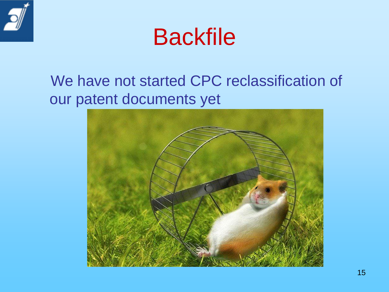



#### We have not started CPC reclassification of our patent documents yet